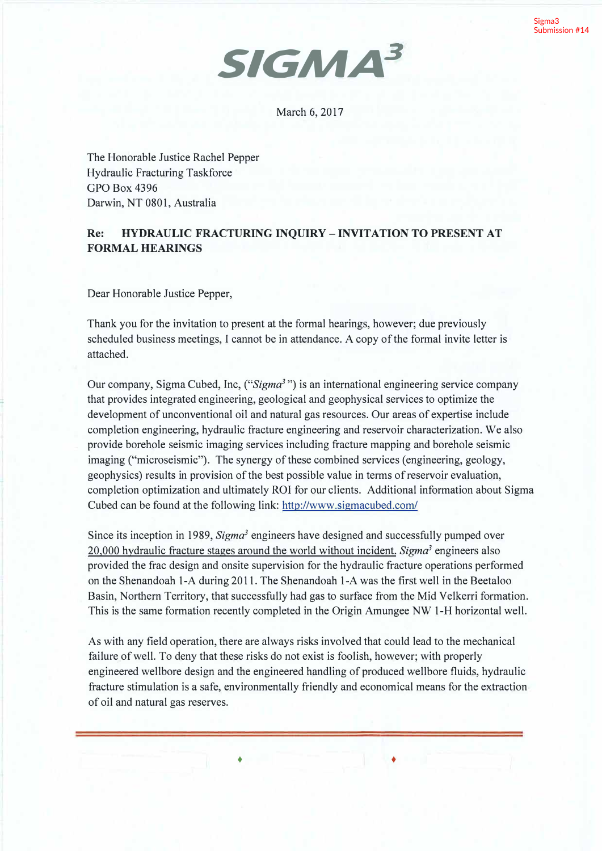

March 6, 2017

The Honorable Justice Rachel Pepper Hydraulic Fracturing Taskforce GPO Box 4396 Darwin, NT 0801, Australia

## **Re: HYDRAULIC FRACTURING INQUIRY -INVITATION TO PRESENT AT FORMAL HEARINGS**

Dear Honorable Justice Pepper,

Thank you for the invitation to present at the formal hearings, however; due previously scheduled business meetings, I cannot be in attendance. A copy of the formal invite letter is attached.

Our company, Sigma Cubed, Inc, *("Sigma<sup>3</sup>*") is an international engineering service company that provides integrated engineering, geological and geophysical services to optimize the development of unconventional oil and natural gas resources. Our areas of expertise include completion engineering, hydraulic fracture engineering and reservoir characterization. We also provide borehole seismic imaging services including fracture mapping and borehole seismic imaging ("microseismic"). The synergy of these combined services (engineering, geology, geophysics) results in provision of the best possible value in terms of reservoir evaluation, completion optimization and ultimately ROI for our clients. Additional information about Sigma Cubed can be found at the following link: http://www.sigmacubed.com/

Since its inception in 1989, *Sigma<sup>3</sup>*engineers have designed and successfully pumped over 20,000 hydraulic fracture stages around the world without incident. *Sigma<sup>3</sup>*engineers also provided the frac design and onsite supervision for the hydraulic fracture operations performed on the Shenandoah 1-A during 2011. The Shenandoah 1-A was the first well in the Beetaloo Basin, Northern Territory, that successfully had gas to surface from the Mid Velkerri formation. This is the same formation recently completed in the Origin Amungee NW 1-H horizontal well.

As with any field operation, there are always risks involved that could lead to the mechanical failure of well. To deny that these risks do not exist is foolish, however; with properly engineered well bore design and the engineered handling of produced well bore fluids, hydraulic fracture stimulation is a safe, environmentally friendly and economical means for the extraction of oil and natural gas reserves.

• •